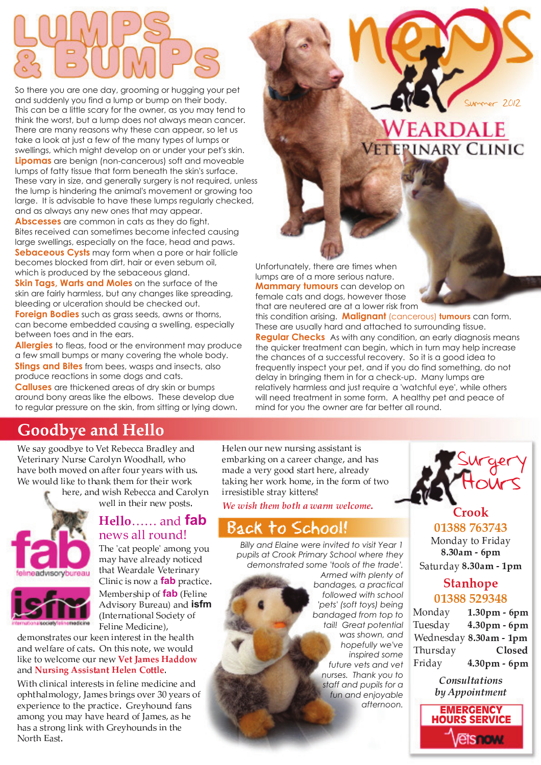So there you are one day, grooming or hugging your pet and suddenly you find a lump or bump on their body. This can be a little scary for the owner, as you may tend to think the worst, but a lump does not always mean cancer. There are many reasons why these can appear, so let us take a look at just a few of the many types of lumps or swellings, which might develop on or under your pet's skin. **Lipomas** are benign (non-cancerous) soft and moveable lumps of fatty tissue that form beneath the skin's surface. These vary in size, and generally surgery is not required, unless the lump is hindering the animal's movement or growing too large. It is advisable to have these lumps regularly checked, and as always any new ones that may appear.

**Abscesses** are common in cats as they do fight. Bites received can sometimes become infected causing large swellings, especially on the face, head and paws. **Sebaceous Cysts** may form when a pore or hair follicle becomes blocked from dirt, hair or even sebum oil, which is produced by the sebaceous gland.

**Skin Tags, Warts and Moles** on the surface of the skin are fairly harmless, but any changes like spreading, bleeding or ulceration should be checked out.

**Foreign Bodies** such as grass seeds, awns or thorns, can become embedded causing a swelling, especially between toes and in the ears.

**Allergies** to fleas, food or the environment may produce a few small bumps or many covering the whole body. **Stings and Bites** from bees, wasps and insects, also produce reactions in some dogs and cats.

**Calluses** are thickened areas of dry skin or bumps around bony areas like the elbows. These develop due to regular pressure on the skin, from sitting or lying down.

# WEARDALE **ETEPINARY CLINIC**

Summer 20

12

Unfortunately, there are times when lumps are of a more serious nature. **Mammary tumours** can develop on female cats and dogs, however those that are neutered are at a lower risk from

this condition arising. **Malignant** (cancerous) **tumours** can form. These are usually hard and attached to surrounding tissue. **Regular Checks** As with any condition, an early diagnosis means the quicker treatment can begin, which in turn may help increase the chances of a successful recovery. So it is a good idea to frequently inspect your pet, and if you do find something, do not delay in bringing them in for a check-up. Many lumps are relatively harmless and just require a 'watchful eye', while others will need treatment in some form. A healthy pet and peace of mind for you the owner are far better all round.

## **Goodbye and Hello**

 $\mathcal{F} \dashv \mathcal{F}$  in the set of  $\mathcal{F} \dashv \mathcal{F}$  and the set of  $\mathcal{F}$ P <sup>G</sup> <sup>O</sup> <sup>G</sup> <sup>T</sup> <sup>W</sup> V <sup>I</sup> <sup>T</sup> <sup>J</sup> <sup>X</sup> <sup>Y</sup> <sup>T</sup> <sup>H</sup> <sup>G</sup> <sup>Z</sup> <sup>I</sup> <sup>T</sup> <sup>L</sup> <sup>U</sup> J <sup>V</sup> <sup>F</sup> <sup>L</sup> <sup>L</sup> <sup>M</sup> [ <sup>I</sup> <sup>U</sup> <sup>U</sup> \ ] [ <sup>L</sup>  $\blacksquare$  and  $\blacksquare$  and  $\blacksquare$  and  $\blacksquare$  and  $\blacksquare$ F <sup>G</sup> ] <sup>L</sup> <sup>Y</sup> <sup>U</sup> <sup>M</sup> <sup>U</sup> <sup>W</sup> b <sup>G</sup> <sup>O</sup> <sup>L</sup> <sup>O</sup> [ <sup>I</sup> <sup>V</sup> <sup>b</sup> <sup>O</sup> [ <sup>G</sup> \_ ` <sup>L</sup> <sup>T</sup> <sup>O</sup> [ <sup>G</sup> <sup>W</sup> <sup>T</sup> ] <sup>L</sup> <sup>T</sup> <sup>b</sup>

> $\blacksquare$  G  $\blacksquare$  G  $\blacksquare$  and  $\blacksquare$  and  $\blacksquare$  and  $\blacksquare$  in the  $\blacksquare$  $\mathcal{L} = \mathcal{L} = \mathcal{L} = \mathcal{L} = \mathcal{L} = \mathcal{L} = \mathcal{L} = \mathcal{L} = \mathcal{L} = \mathcal{L} = \mathcal{L} = \mathcal{L} = \mathcal{L} = \mathcal{L} = \mathcal{L} = \mathcal{L} = \mathcal{L} = \mathcal{L} = \mathcal{L} = \mathcal{L} = \mathcal{L} = \mathcal{L} = \mathcal{L} = \mathcal{L} = \mathcal{L} = \mathcal{L} = \mathcal{L} = \mathcal{L} = \mathcal{L} = \mathcal{L} = \mathcal{L} = \mathcal$



### Hello...... and **fab** h j k l g m n o p h i q m n o p h i q m n o p h i q m n o p h i q m n o p h i q m n o p h i q m n o p h i q m

rent de la component de la component de la component de la component de la component de la component de la com  $\blacksquare$   $\blacksquare$   $\blacksquare$   $\blacksquare$   $\blacksquare$   $\blacksquare$   $\blacksquare$   $\blacksquare$   $\blacksquare$   $\blacksquare$   $\blacksquare$   $\blacksquare$   $\blacksquare$   $\blacksquare$   $\blacksquare$   $\blacksquare$   $\blacksquare$   $\blacksquare$   $\blacksquare$   $\blacksquare$   $\blacksquare$   $\blacksquare$   $\blacksquare$   $\blacksquare$   $\blacksquare$   $\blacksquare$   $\blacksquare$   $\blacksquare$   $\blacksquare$   $\blacksquare$   $\blacksquare$   $\blacks$ O [ <sup>I</sup> <sup>O</sup> <sup>F</sup> <sup>G</sup> <sup>I</sup> <sup>T</sup> <sup>M</sup> <sup>I</sup> <sup>U</sup> <sup>G</sup> <sup>P</sup> <sup>G</sup> <sup>O</sup> <sup>G</sup> <sup>T</sup> <sup>W</sup> V <sup>I</sup> <sup>T</sup> <sup>J</sup> Clinic is now a **fab** practice Membership of **fab** (Felin)

Advisory Bureau) and **isfm** (International Society o Feline Medicine)

M <sup>G</sup> \_ <sup>L</sup> <sup>V</sup> <sup>H</sup> <sup>O</sup> <sup>T</sup> <sup>I</sup> <sup>O</sup> <sup>G</sup> <sup>H</sup> <sup>L</sup> <sup>Y</sup> <sup>T</sup> <sup>b</sup> <sup>G</sup> <sup>G</sup> <sup>V</sup> <sup>W</sup> <sup>V</sup> <sup>O</sup> <sup>G</sup> <sup>T</sup> <sup>G</sup> <sup>H</sup> <sup>O</sup> <sup>W</sup> <sup>V</sup> <sup>O</sup> [ <sup>G</sup> [ <sup>G</sup> <sup>I</sup> <sup>U</sup> <sup>O</sup> [ I <sup>V</sup> <sup>M</sup> ] <sup>G</sup> <sup>U</sup> ` <sup>I</sup> <sup>T</sup> <sup>G</sup> <sup>L</sup> ` <sup>R</sup> <sup>I</sup> <sup>O</sup> <sup>H</sup> <sup>a</sup> { <sup>V</sup> <sup>O</sup> [ <sup>W</sup> <sup>H</sup> <sup>V</sup> <sup>L</sup> <sup>O</sup> <sup>G</sup> \ ] <sup>G</sup> ] <sup>L</sup> <sup>Y</sup> <sup>U</sup> <sup>M</sup> U <sup>W</sup> b <sup>G</sup> <sup>O</sup> <sup>L</sup> ] <sup>G</sup> <sup>U</sup> <sup>R</sup> <sup>L</sup> \_ <sup>G</sup> <sup>L</sup> <sup>Y</sup> <sup>T</sup> <sup>V</sup> <sup>G</sup> ] <sup>|</sup> } <sup>~</sup> } I <sup>V</sup> <sup>M</sup> <sup>~</sup> <sup>~</sup> } } <sup>~</sup> <sup>~</sup> } <sup>a</sup>

F W O G H O G T O G T O G T O G T O G T O G T O G T O G T O G T O G T O G T O G T O G T O G T O G T O G T O G L <sup>c</sup> [ <sup>O</sup> [ <sup>I</sup> <sup>U</sup> \_ <sup>L</sup> <sup>U</sup> <sup>L</sup> <sup>K</sup> <sup>J</sup> \ <sup>I</sup> \_ <sup>G</sup> <sup>H</sup> <sup>N</sup> <sup>T</sup> <sup>W</sup> <sup>V</sup> <sup>K</sup> <sup>H</sup> <sup>L</sup> ^ <sup>G</sup> <sup>T</sup> <sup>J</sup> <sup>G</sup> <sup>I</sup> <sup>T</sup> <sup>H</sup> <sup>L</sup> `  $\blacksquare$  contracts the contract of the contract of the contract of the contract of the contract of the contract of the contract of the contract of the contract of the contract of the contract of the contract of the contract  $\mathbf 1$  and  $\mathbf 1$  and  $\mathbf 1$   $\mathbf 1$   $\mathbf 1$   $\mathbf 1$   $\mathbf 1$   $\mathbf 1$   $\mathbf 1$ [ <sup>I</sup> <sup>H</sup> <sup>I</sup> <sup>H</sup> <sup>O</sup> <sup>T</sup> <sup>L</sup> <sup>V</sup> <sup>K</sup> <sup>U</sup> <sup>W</sup> V <sup>b</sup> ] <sup>W</sup> <sup>O</sup> [ <sup>T</sup> <sup>G</sup> <sup>J</sup> [ <sup>L</sup> <sup>Y</sup> <sup>V</sup> <sup>M</sup> <sup>H</sup> <sup>W</sup> V <sup>O</sup> [ <sup>G</sup> X <sup>L</sup> <sup>T</sup> <sup>O</sup> [ <sup>I</sup> <sup>H</sup> <sup>O</sup> <sup>a</sup>

 <sup>G</sup> <sup>U</sup> <sup>G</sup> <sup>V</sup> <sup>L</sup> <sup>Y</sup> <sup>T</sup> <sup>V</sup> <sup>G</sup> ] <sup>V</sup> <sup>Y</sup> <sup>T</sup> <sup>H</sup> <sup>W</sup> V <sup>K</sup> <sup>I</sup> <sup>H</sup> <sup>H</sup> <sup>W</sup> <sup>H</sup> <sup>O</sup> <sup>I</sup> <sup>V</sup> <sup>O</sup> <sup>W</sup> <sup>H</sup>  $\mathcal{A} = \mathcal{A} \mathcal{A}$  , which we have defined as a set of the set of the set of the set of the set of the set of the set of the set of the set of the set of the set of the set of the set of the set of the set of the set o  $\blacksquare$  I M G i G  $\blacksquare$  i U T  $\blacksquare$  i U T  $\blacksquare$  $\blacksquare$  $\cdots$  and  $\cdots$  defined when  $\cdots$ 

¡ ¢ ¢ £ ¤ ¥ ¡ ¦

### Back to School!

*Billy and Elaine were invited to visit Year 1 pupils at Crook Primary School where they demonstrated some 'tools of the trade'.* 

*Armed with plenty of bandages, a practical followed with school 'pets' (soft toys) being bandaged from top to tail! Great potential was shown, and hopefully we've inspired some future vets and vet nurses. Thank you to staff and pupils for a fun and enjoyable afternoon.*



\_ \_ \_ \_ \_ \_ \_ \_ \_ \_

. . . . . . .  $\sim$   $\sim$   $\sim$ . . . . . .

### Stanhope . . . . . . . . . .

| Monday   | $1.30pm$ - 6pm         |
|----------|------------------------|
| Tuesday  | $4.30pm$ - 6pm         |
|          | Wednesday 8.30am - 1pm |
| Thursday | Closed                 |
| Friday   | 4.30pm - 6pm           |

7 <sup>8</sup> <sup>9</sup> : ; <sup>&</sup>lt; <sup>=</sup> <sup>&</sup>gt; <sup>=</sup> ? <sup>8</sup> <sup>9</sup> : @ <sup>A</sup> <sup>B</sup> <sup>C</sup> <sup>C</sup> 8 ? <sup>9</sup> <sup>=</sup> <sup>D</sup> <sup>E</sup> <sup>9</sup> <sup>=</sup>